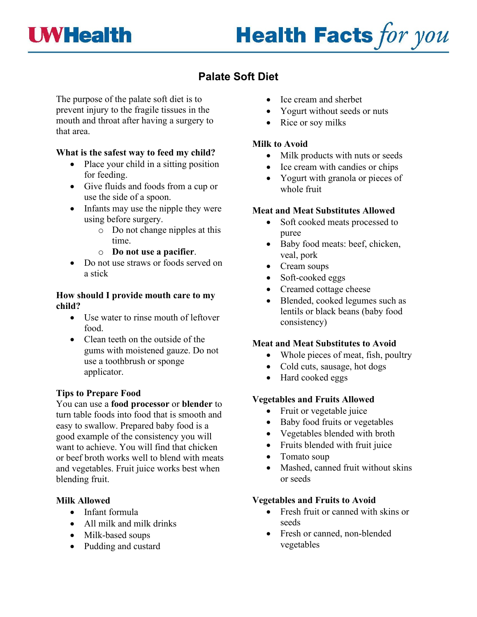

# **Health Facts for you**

# **Palate Soft Diet**

The purpose of the palate soft diet is to prevent injury to the fragile tissues in the mouth and throat after having a surgery to that area.

# **What is the safest way to feed my child?**

- Place your child in a sitting position for feeding.
- Give fluids and foods from a cup or use the side of a spoon.
- Infants may use the nipple they were using before surgery.
	- o Do not change nipples at this time.
	- o **Do not use a pacifier**.
- Do not use straws or foods served on a stick

#### **How should I provide mouth care to my child?**

- Use water to rinse mouth of leftover food.
- Clean teeth on the outside of the gums with moistened gauze. Do not use a toothbrush or sponge applicator.

# **Tips to Prepare Food**

You can use a **food processor** or **blender** to turn table foods into food that is smooth and easy to swallow. Prepared baby food is a good example of the consistency you will want to achieve. You will find that chicken or beef broth works well to blend with meats and vegetables. Fruit juice works best when blending fruit.

#### **Milk Allowed**

- Infant formula
- All milk and milk drinks
- Milk-based soups
- Pudding and custard
- Ice cream and sherbet
- Yogurt without seeds or nuts
- Rice or soy milks

#### **Milk to Avoid**

- Milk products with nuts or seeds
- Ice cream with candies or chips
- Yogurt with granola or pieces of whole fruit

# **Meat and Meat Substitutes Allowed**

- Soft cooked meats processed to puree
- Baby food meats: beef, chicken, veal, pork
- Cream soups
- Soft-cooked eggs
- Creamed cottage cheese
- Blended, cooked legumes such as lentils or black beans (baby food consistency)

# **Meat and Meat Substitutes to Avoid**

- Whole pieces of meat, fish, poultry
- Cold cuts, sausage, hot dogs
- Hard cooked eggs

#### **Vegetables and Fruits Allowed**

- Fruit or vegetable juice
- Baby food fruits or vegetables
- Vegetables blended with broth
- Fruits blended with fruit juice
- Tomato soup
- Mashed, canned fruit without skins or seeds

# **Vegetables and Fruits to Avoid**

- Fresh fruit or canned with skins or seeds
- Fresh or canned, non-blended vegetables